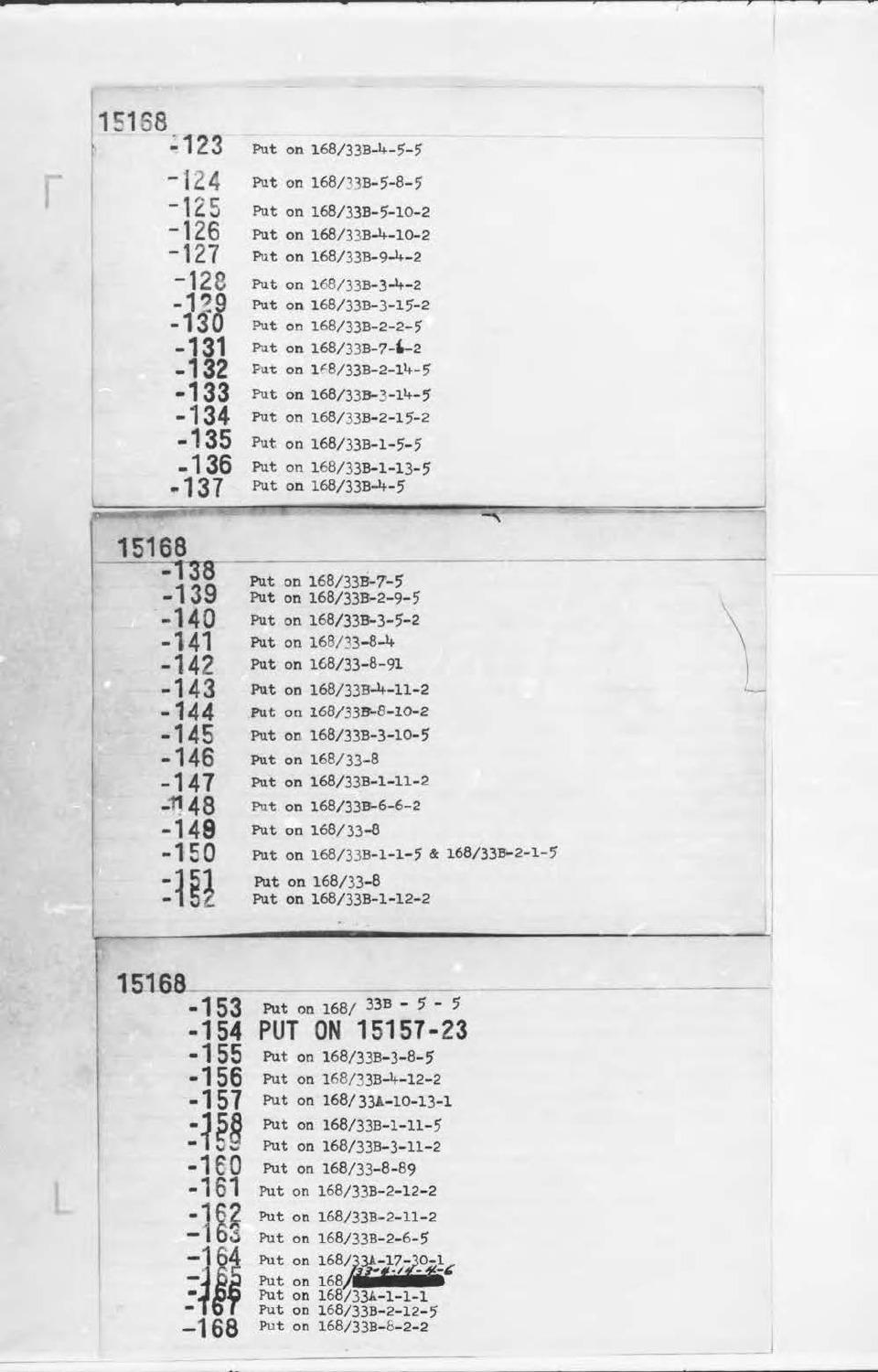--------------------------~~------------------~----~----~-- <sup>~</sup>

I

| 15168  |                         |
|--------|-------------------------|
| $-123$ | Put on 168/33B-4-5-5    |
| $-124$ | Put on 168/33B-5-8-5    |
| $-125$ | Put on 168/33B-5-10-2   |
| $-126$ | Put on 168/33B-4-10-2   |
| -127   | Put on 168/33B-9-4-2    |
| $-128$ | Put on 168/33B-3-4-2    |
| $-129$ | Put on 168/33B-3-15-2   |
| -130   | Put on 168/33B-2-2-5    |
| $-131$ | Put on 168/33B-7-1-2    |
| $-132$ | Put on 168/33B-2-14-5   |
| -133   | Put on $168/33B-3-14-5$ |
| -134   | Put on 168/33B-2-15-2   |
| -135   | Put on 168/33B-1-5-5    |
| $-136$ | Put on 168/33B-1-13-5   |
| -137   | Put on 168/33B-4-5      |

| 15168            |                                            |
|------------------|--------------------------------------------|
| $-138$<br>$-139$ | Put on 168/33B-7-5<br>Put on 168/33B-2-9-5 |
| $-140$           | Put on 168/33B-3-5-2                       |
| -141             | Put on 168/33-8-4                          |
| $-142$           | Put on 168/33-8-91                         |
| $-143$           | Put on 168/33B-4-11-2                      |
| $-144$           | Put on 168/33B-8-10-2                      |
| $-145$           | Put on 168/33B-3-10-5                      |
| $-146$           | Put on 168/33-8                            |
| -147             | Put on 168/33B-1-11-2                      |
|                  |                                            |

| $-1148$ | Put on 168/33B-6-6-2                     |
|---------|------------------------------------------|
| $-149$  | Put on 168/33-8                          |
| $-150$  | Put on 168/33B-1-1-5 & 168/33B-2-1-5     |
| $-151$  | Put on 168/33-8<br>Put on 168/33B-1-12-2 |

case of

the company of the company of the company of

 $\overline{\phantom{a}}$ 

**• letter and the control of the control of the control of the control of the control of the control of the control of the control of the control of the control of the control of the control of the control of the control o** 

| 15168  |                                               |
|--------|-----------------------------------------------|
| $-153$ | Put on $168/33B - 5 - 5$                      |
| -154   | PUT ON 15157-23                               |
| $-155$ | Put on 168/33B-3-8-5                          |
| -156   | Put on 168/33B-4-12-2                         |
| -157   | Put on 168/33A-10-13-1                        |
| -158   | Put on 168/33B-1-11-5                         |
| -159   | Put on 168/33B-3-11-2                         |
| $-160$ | Put on 168/33-8-89                            |
| -161   | Put on 168/33B-2-12-2                         |
|        | Put on 168/33B-2-11-2                         |
|        | Put on 168/33B-2-6-5                          |
|        | Put on 168/33A-17-30-1                        |
|        | Put on $168/33 - 4 - 14 - 4 - 6$              |
|        | Put on 168/33A-1-1-1<br>Put on 168/33B-2-12-5 |
|        | Put on $168/33B-8-2-2$                        |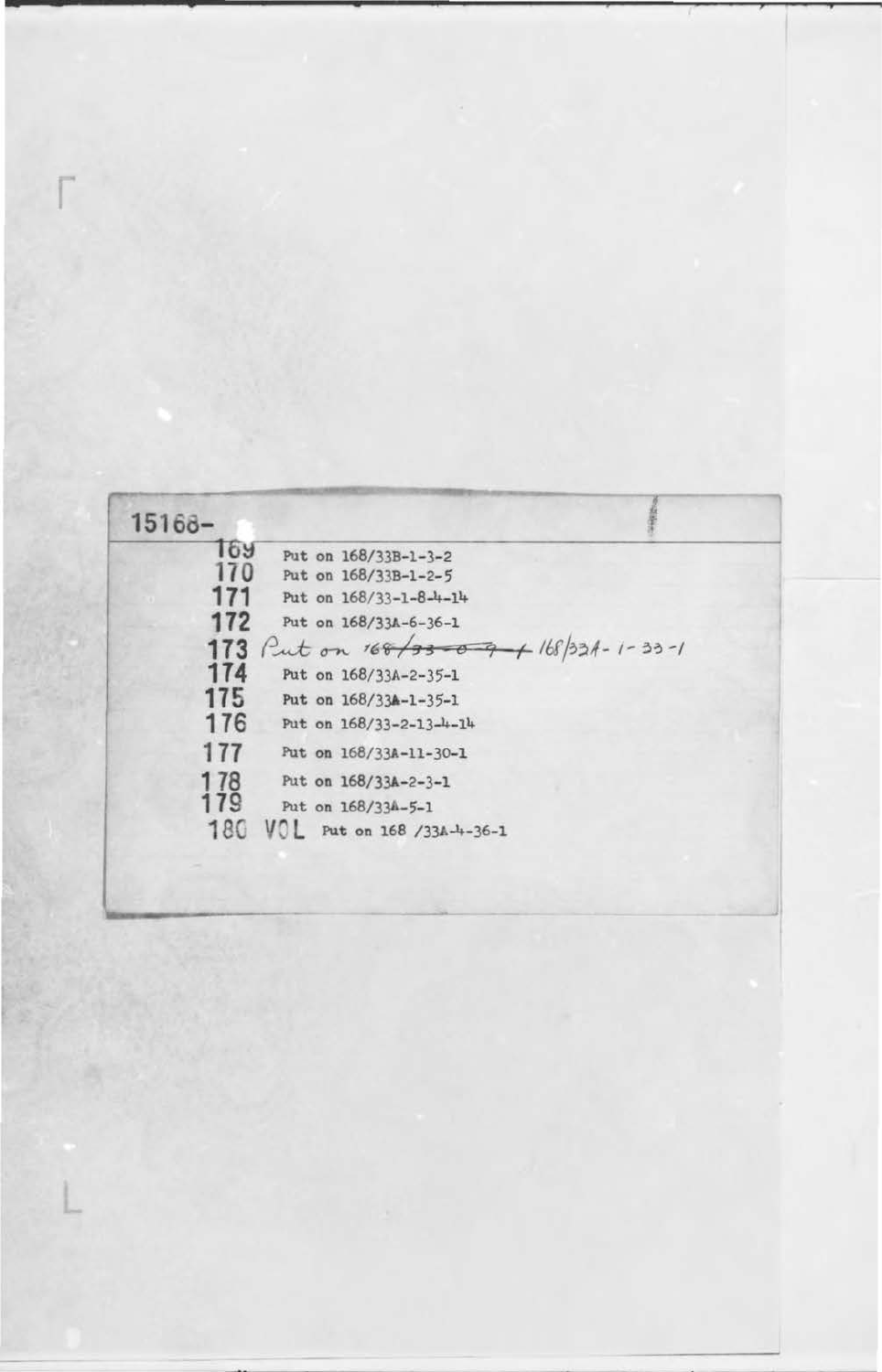**<sup>179</sup>**18( Put on 168/334-5-1 VOL Put on 168 /33A-4-36-1

| $15168 -$ |                                   |  |
|-----------|-----------------------------------|--|
| 169       | Put on 168/33B-1-3-2              |  |
| 170       | Put on 168/33B-1-2-5              |  |
| 171       | Put on $168/33 - 1 - 8 - 4 - 14$  |  |
| 172       | Put on 168/33A-6-36-1             |  |
| 173       | Put on 168/33009 + 168/33A-1-33-1 |  |
| 174       | Put on 168/33A-2-35-1             |  |
| 175       | Put on 168/33A-1-35-1             |  |
| 176       | Put on 168/33-2-13-4-14           |  |
| 177       | Put on 168/33A-11-30-1            |  |
| 178       | Put on 168/33A-2-3-1              |  |

J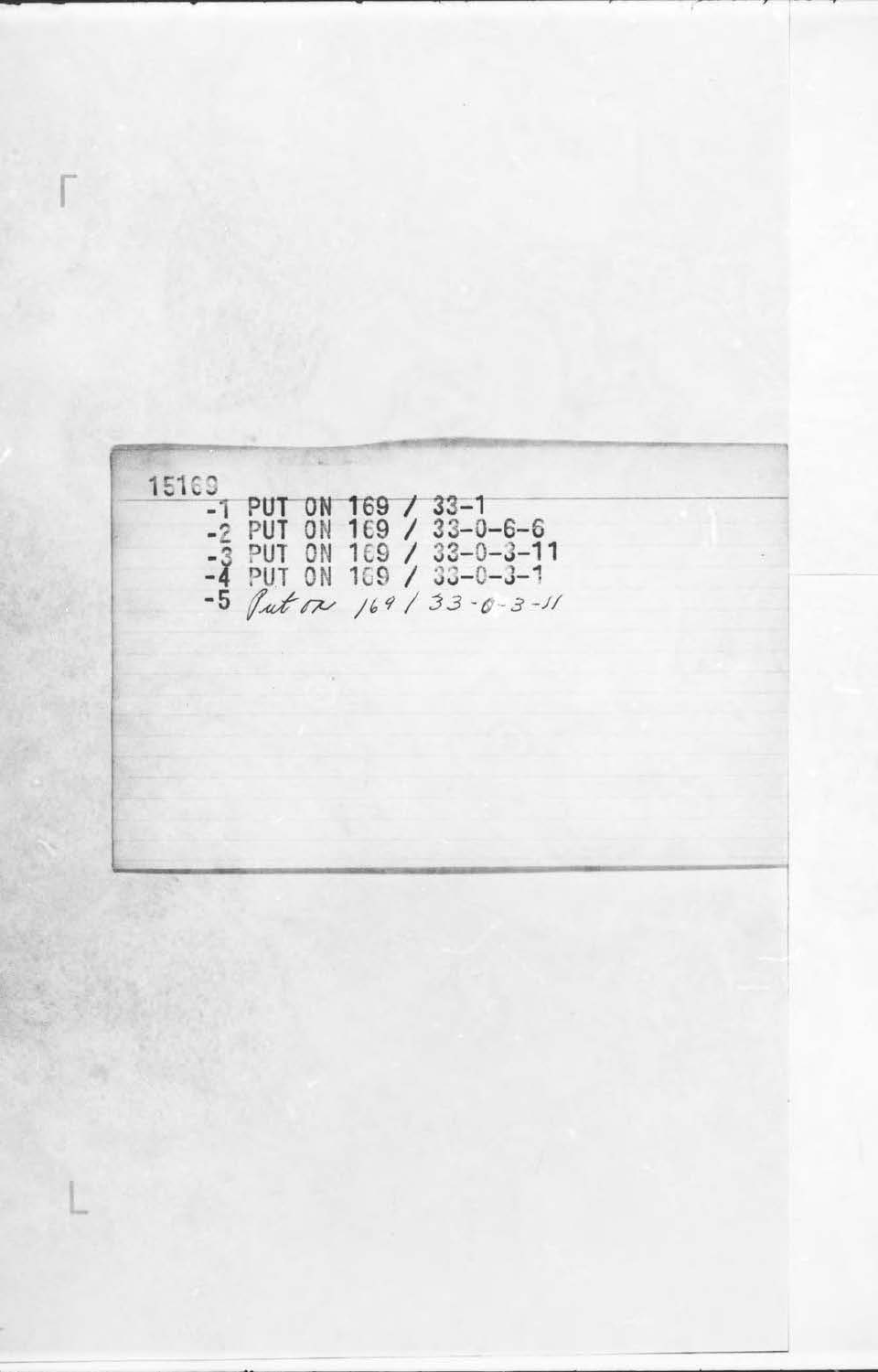$\mathcal{L} = \mathcal{L} \left( \mathcal{L} \right) \mathcal{L} \left( \mathcal{L} \right)$ 15169 -1 PUT ON 169 / 33-1<br>-2 PUT ON 169 / 33-0-6-6<br>-3 PUT ON 169 / 33-0-3-11<br>-4 PUT ON 169 / 33-0-3-1<br>-5 *fut on* 169 / 33-0-3-1

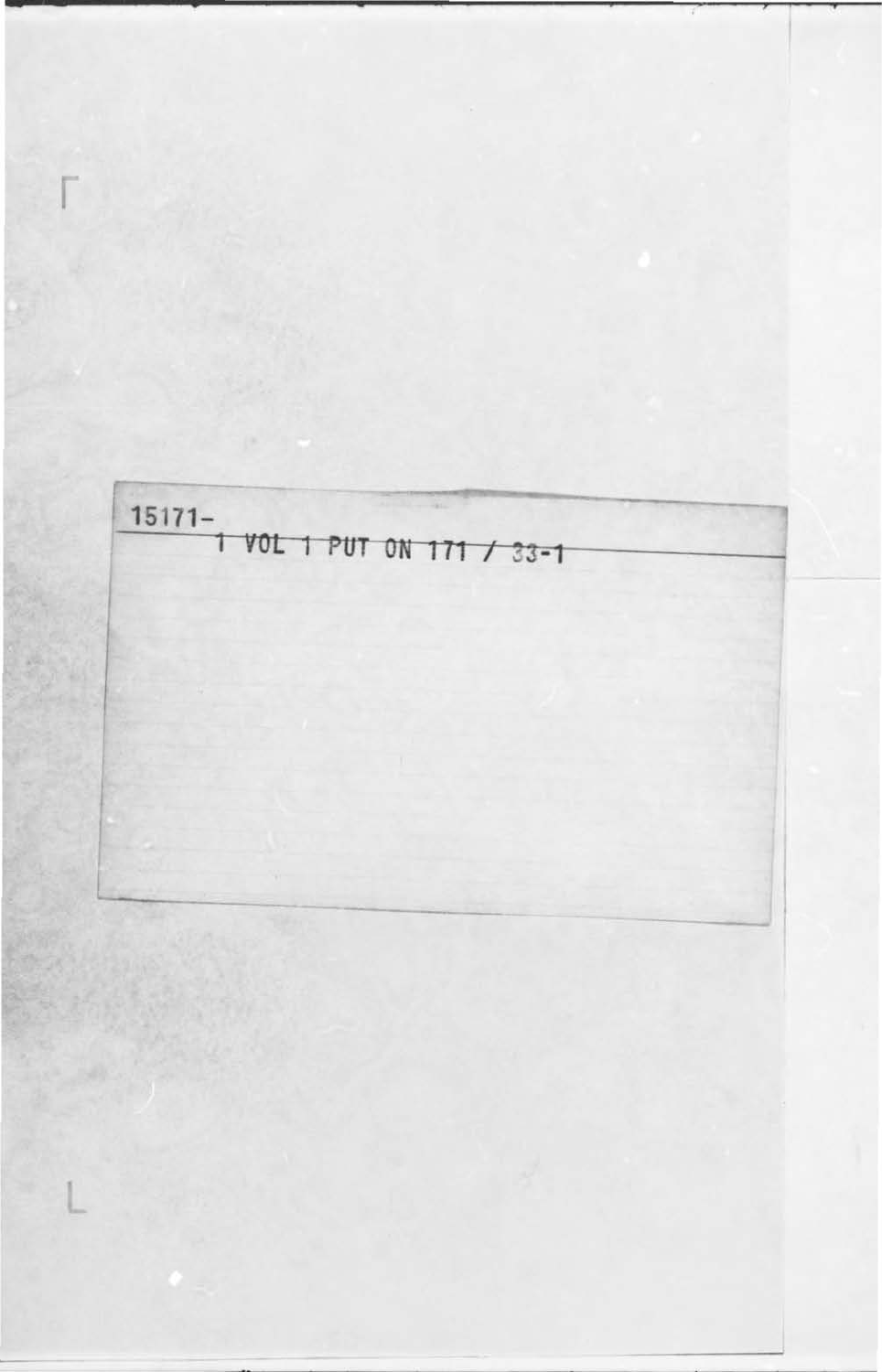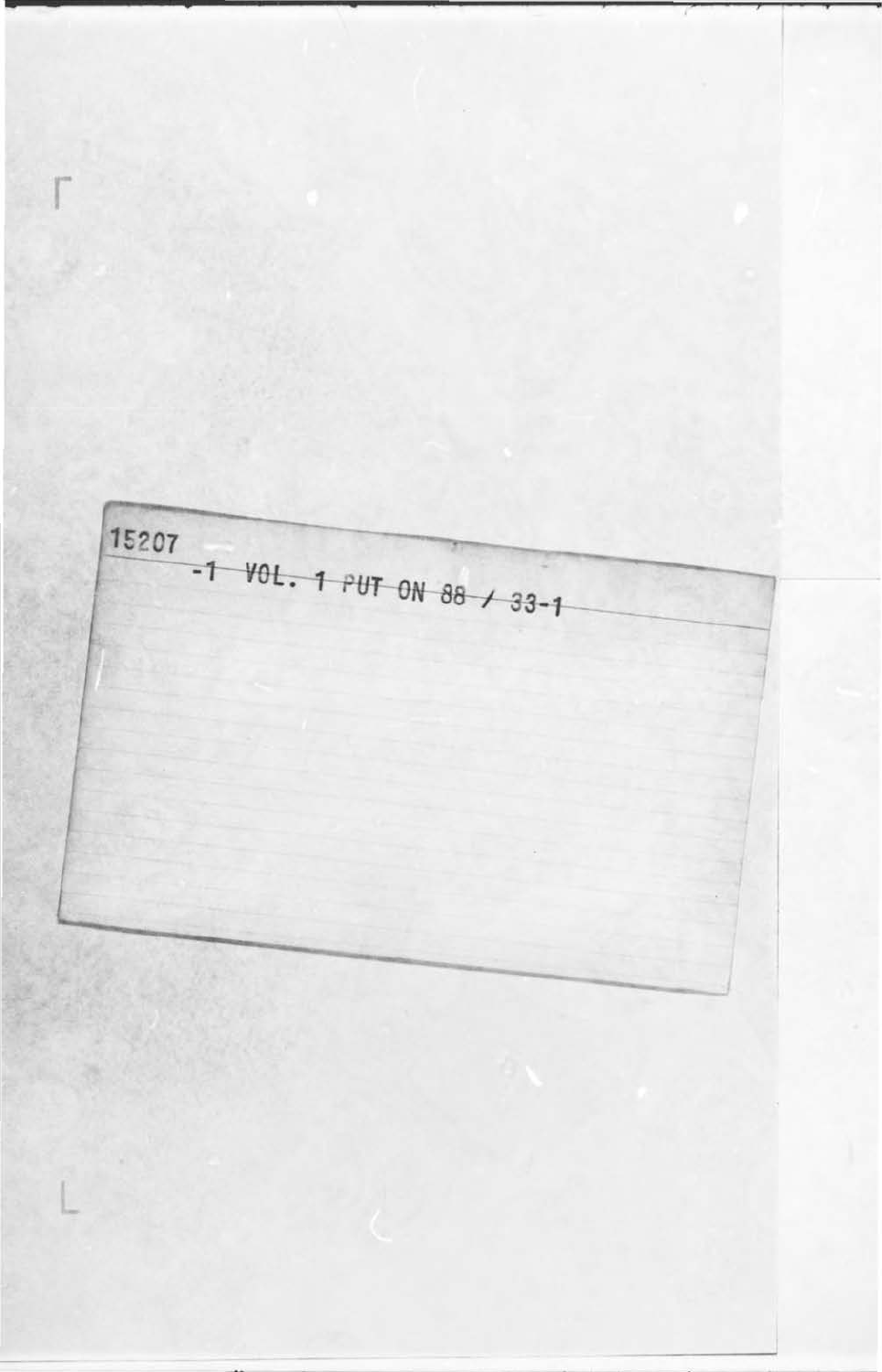